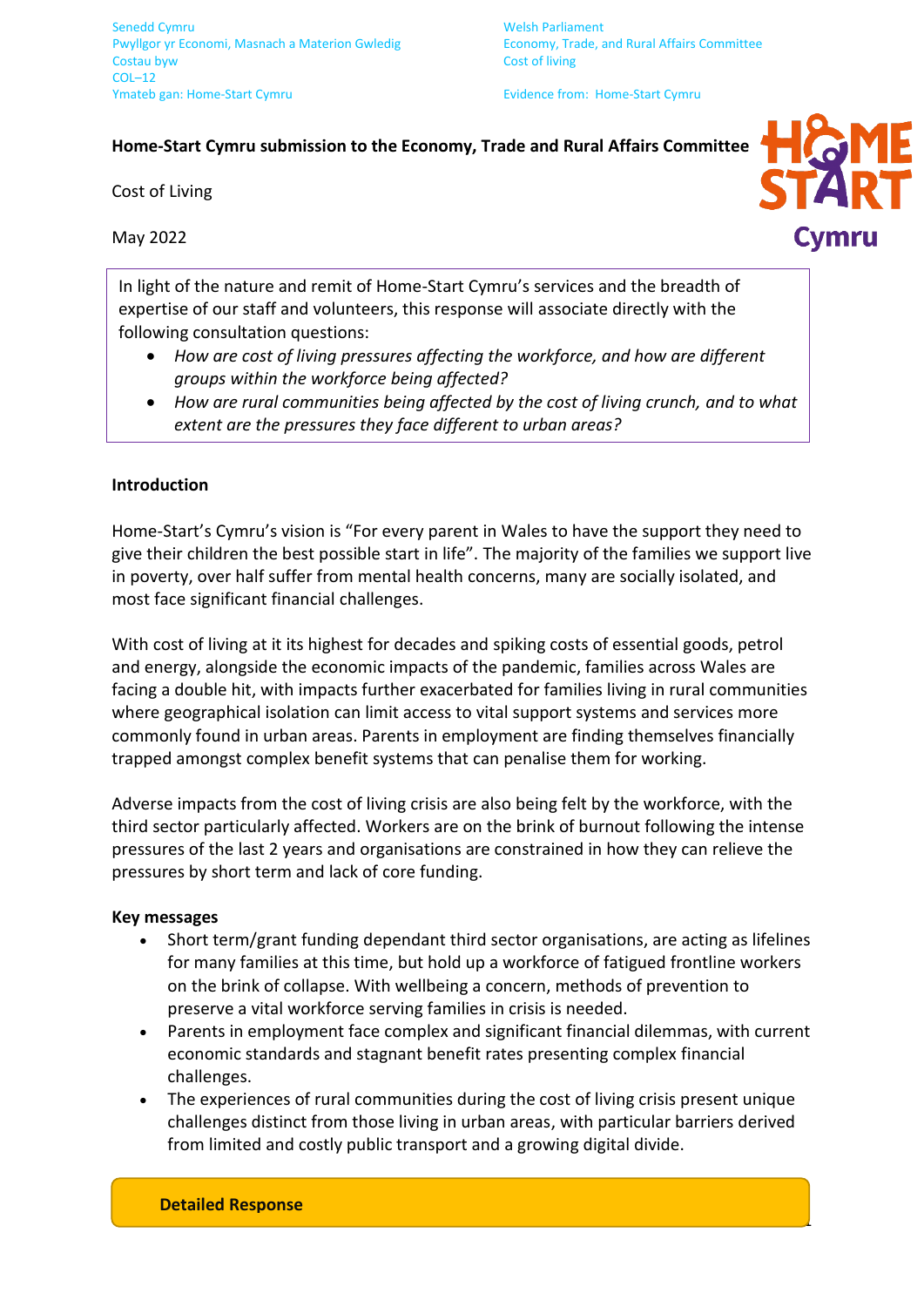## **Home-Start Cymru submission to the Economy, Trade and Rural Affairs Committee**

Cost of Living

May 2022

In light of the nature and remit of Home-Start Cymru's services and the breadth of expertise of our staff and volunteers, this response will associate directly with the following consultation questions:

- *How are cost of living pressures affecting the workforce, and how are different groups within the workforce being affected?*
- *How are rural communities being affected by the cost of living crunch, and to what extent are the pressures they face different to urban areas?*

## **Introduction**

Home-Start's Cymru's vision is "For every parent in Wales to have the support they need to give their children the best possible start in life". The majority of the families we support live in poverty, over half suffer from mental health concerns, many are socially isolated, and most face significant financial challenges.

With cost of living at it its highest for decades and spiking costs of essential goods, petrol and energy, alongside the economic impacts of the pandemic, families across Wales are facing a double hit, with impacts further exacerbated for families living in rural communities where geographical isolation can limit access to vital support systems and services more commonly found in urban areas. Parents in employment are finding themselves financially trapped amongst complex benefit systems that can penalise them for working.

Adverse impacts from the cost of living crisis are also being felt by the workforce, with the third sector particularly affected. Workers are on the brink of burnout following the intense pressures of the last 2 years and organisations are constrained in how they can relieve the pressures by short term and lack of core funding.

## **Key messages**

- Short term/grant funding dependant third sector organisations, are acting as lifelines for many families at this time, but hold up a workforce of fatigued frontline workers on the brink of collapse. With wellbeing a concern, methods of prevention to preserve a vital workforce serving families in crisis is needed.
- Parents in employment face complex and significant financial dilemmas, with current economic standards and stagnant benefit rates presenting complex financial challenges.
- The experiences of rural communities during the cost of living crisis present unique challenges distinct from those living in urban areas, with particular barriers derived from limited and costly public transport and a growing digital divide.



1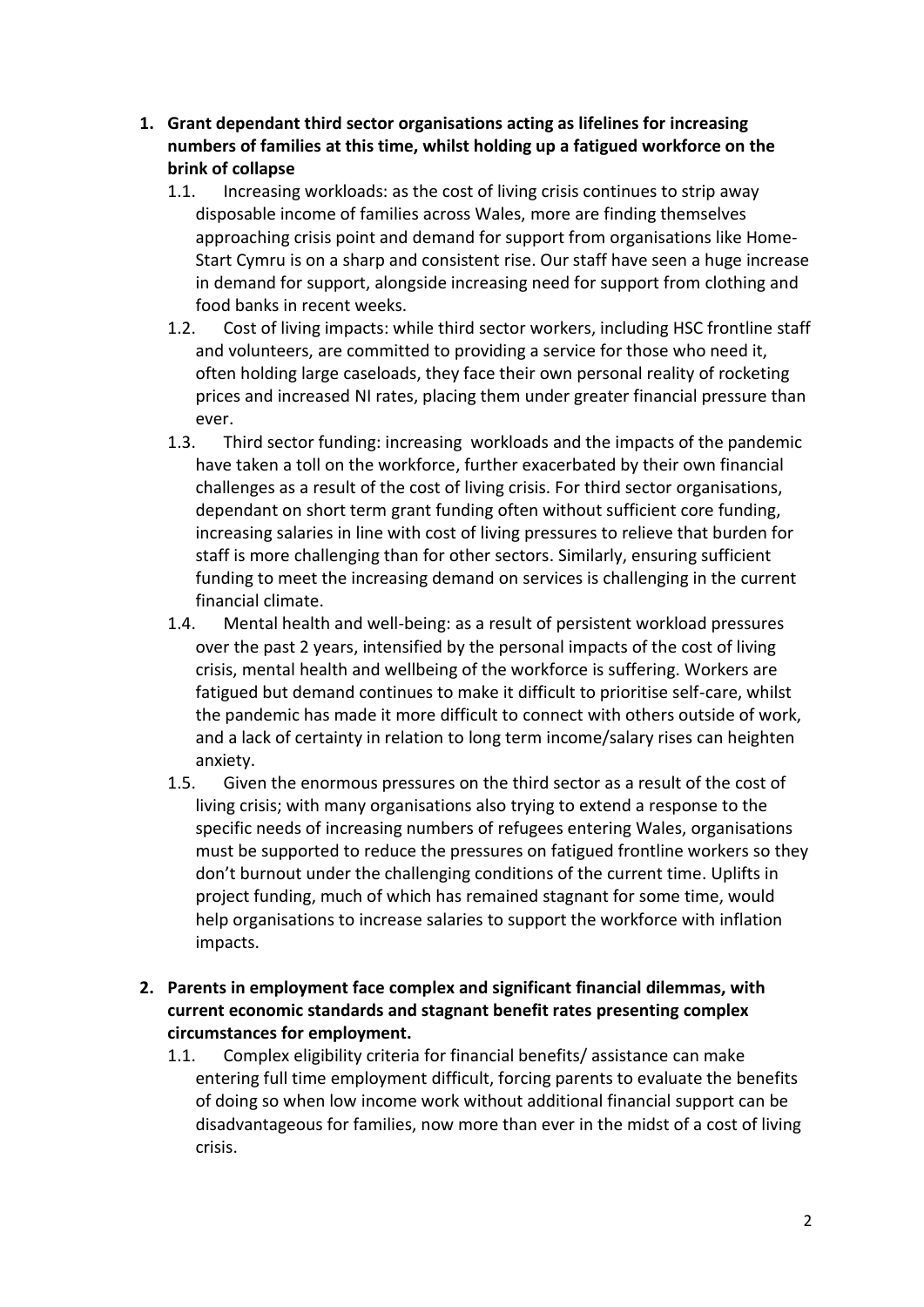- **1. Grant dependant third sector organisations acting as lifelines for increasing numbers of families at this time, whilst holding up a fatigued workforce on the brink of collapse**
	- 1.1. Increasing workloads: as the cost of living crisis continues to strip away disposable income of families across Wales, more are finding themselves approaching crisis point and demand for support from organisations like Home-Start Cymru is on a sharp and consistent rise. Our staff have seen a huge increase in demand for support, alongside increasing need for support from clothing and food banks in recent weeks.
	- 1.2. Cost of living impacts: while third sector workers, including HSC frontline staff and volunteers, are committed to providing a service for those who need it, often holding large caseloads, they face their own personal reality of rocketing prices and increased NI rates, placing them under greater financial pressure than ever.
	- 1.3. Third sector funding: increasing workloads and the impacts of the pandemic have taken a toll on the workforce, further exacerbated by their own financial challenges as a result of the cost of living crisis. For third sector organisations, dependant on short term grant funding often without sufficient core funding, increasing salaries in line with cost of living pressures to relieve that burden for staff is more challenging than for other sectors. Similarly, ensuring sufficient funding to meet the increasing demand on services is challenging in the current financial climate.
	- 1.4. Mental health and well-being: as a result of persistent workload pressures over the past 2 years, intensified by the personal impacts of the cost of living crisis, mental health and wellbeing of the workforce is suffering. Workers are fatigued but demand continues to make it difficult to prioritise self-care, whilst the pandemic has made it more difficult to connect with others outside of work, and a lack of certainty in relation to long term income/salary rises can heighten anxiety.
	- 1.5. Given the enormous pressures on the third sector as a result of the cost of living crisis; with many organisations also trying to extend a response to the specific needs of increasing numbers of refugees entering Wales, organisations must be supported to reduce the pressures on fatigued frontline workers so they don't burnout under the challenging conditions of the current time. Uplifts in project funding, much of which has remained stagnant for some time, would help organisations to increase salaries to support the workforce with inflation impacts.
- **2. Parents in employment face complex and significant financial dilemmas, with current economic standards and stagnant benefit rates presenting complex circumstances for employment.** 
	- 1.1. Complex eligibility criteria for financial benefits/ assistance can make entering full time employment difficult, forcing parents to evaluate the benefits of doing so when low income work without additional financial support can be disadvantageous for families, now more than ever in the midst of a cost of living crisis.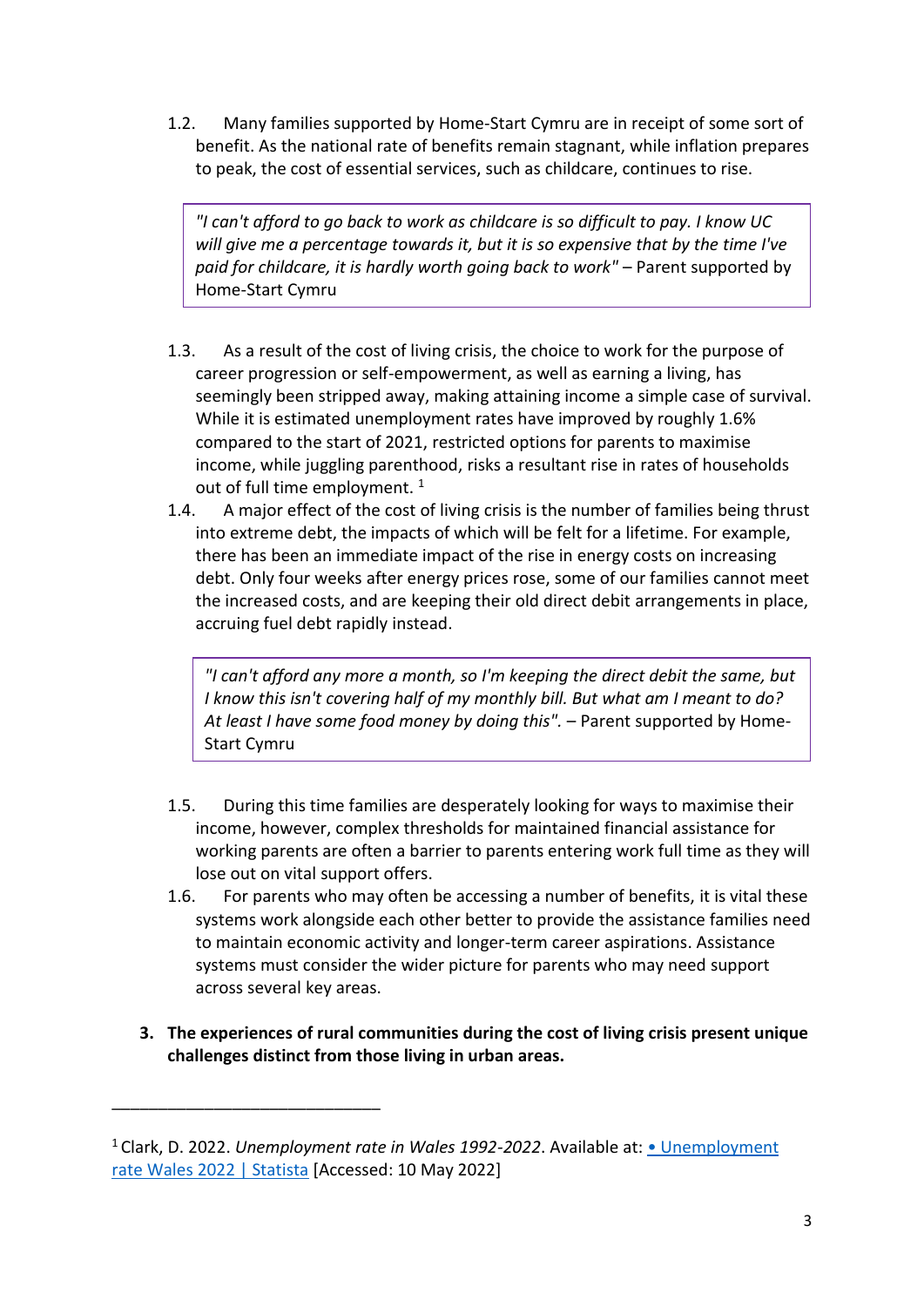1.2. Many families supported by Home-Start Cymru are in receipt of some sort of benefit. As the national rate of benefits remain stagnant, while inflation prepares to peak, the cost of essential services, such as childcare, continues to rise.

*"I can't afford to go back to work as childcare is so difficult to pay. I know UC will give me a percentage towards it, but it is so expensive that by the time I've paid for childcare, it is hardly worth going back to work"* – Parent supported by Home-Start Cymru

- 1.3. As a result of the cost of living crisis, the choice to work for the purpose of career progression or self-empowerment, as well as earning a living, has seemingly been stripped away, making attaining income a simple case of survival. While it is estimated unemployment rates have improved by roughly 1.6% compared to the start of 2021, restricted options for parents to maximise income, while juggling parenthood, risks a resultant rise in rates of households out of full time employment.  $1$
- 1.4. A major effect of the cost of living crisis is the number of families being thrust into extreme debt, the impacts of which will be felt for a lifetime. For example, there has been an immediate impact of the rise in energy costs on increasing debt. Only four weeks after energy prices rose, some of our families cannot meet the increased costs, and are keeping their old direct debit arrangements in place, accruing fuel debt rapidly instead.

*"I can't afford any more a month, so I'm keeping the direct debit the same, but I know this isn't covering half of my monthly bill. But what am I meant to do? At least I have some food money by doing this".* – Parent supported by Home-Start Cymru

- 1.5. During this time families are desperately looking for ways to maximise their income, however, complex thresholds for maintained financial assistance for working parents are often a barrier to parents entering work full time as they will lose out on vital support offers.
- 1.6. For parents who may often be accessing a number of benefits, it is vital these systems work alongside each other better to provide the assistance families need to maintain economic activity and longer-term career aspirations. Assistance systems must consider the wider picture for parents who may need support across several key areas.
- **3. The experiences of rural communities during the cost of living crisis present unique challenges distinct from those living in urban areas.**

\_\_\_\_\_\_\_\_\_\_\_\_\_\_\_\_\_\_\_\_\_\_\_\_\_\_\_\_\_

<sup>1</sup>Clark, D. 2022. *Unemployment rate in Wales 1992-2022*. Available at: [• Unemployment](https://www.statista.com/statistics/529486/unemployment-rate-of-wales/#:~:text=The%20unemployment%20rate%20of%20Wales%20was%20three%20percent,lockdowns%20caused%20the%20rate%20to%20start%20climbing%20again.?msclkid=fcc086bfd09911ec90cba6b9c77181e0)  [rate Wales 2022 | Statista](https://www.statista.com/statistics/529486/unemployment-rate-of-wales/#:~:text=The%20unemployment%20rate%20of%20Wales%20was%20three%20percent,lockdowns%20caused%20the%20rate%20to%20start%20climbing%20again.?msclkid=fcc086bfd09911ec90cba6b9c77181e0) [Accessed: 10 May 2022]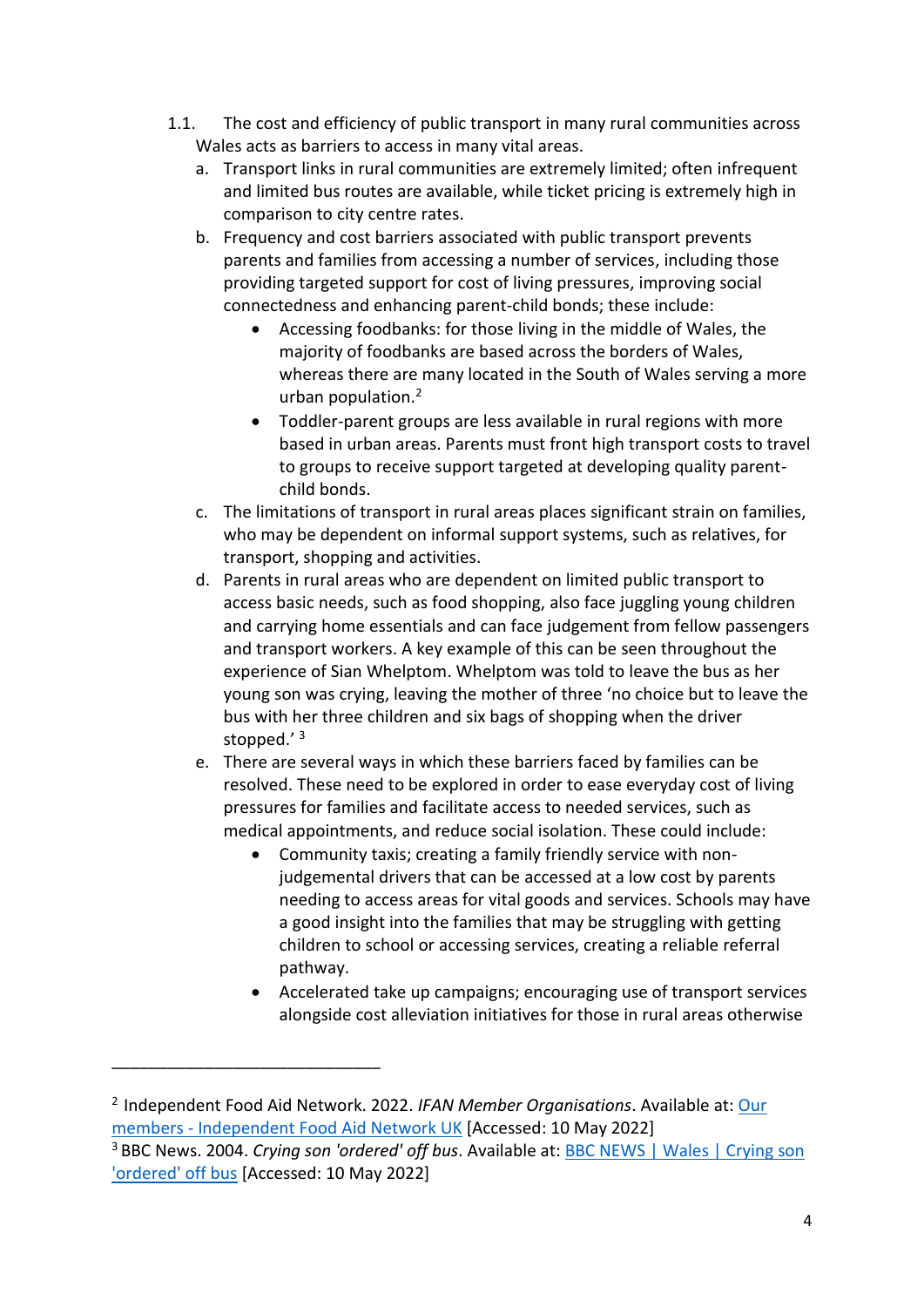- 1.1. The cost and efficiency of public transport in many rural communities across Wales acts as barriers to access in many vital areas.
	- a. Transport links in rural communities are extremely limited; often infrequent and limited bus routes are available, while ticket pricing is extremely high in comparison to city centre rates.
	- b. Frequency and cost barriers associated with public transport prevents parents and families from accessing a number of services, including those providing targeted support for cost of living pressures, improving social connectedness and enhancing parent-child bonds; these include:
		- Accessing foodbanks: for those living in the middle of Wales, the majority of foodbanks are based across the borders of Wales, whereas there are many located in the South of Wales serving a more urban population.<sup>2</sup>
		- Toddler-parent groups are less available in rural regions with more based in urban areas. Parents must front high transport costs to travel to groups to receive support targeted at developing quality parentchild bonds.
	- c. The limitations of transport in rural areas places significant strain on families, who may be dependent on informal support systems, such as relatives, for transport, shopping and activities.
	- d. Parents in rural areas who are dependent on limited public transport to access basic needs, such as food shopping, also face juggling young children and carrying home essentials and can face judgement from fellow passengers and transport workers. A key example of this can be seen throughout the experience of Sian Whelptom. Whelptom was told to leave the bus as her young son was crying, leaving the mother of three 'no choice but to leave the bus with her three children and six bags of shopping when the driver stopped.'<sup>3</sup>
	- e. There are several ways in which these barriers faced by families can be resolved. These need to be explored in order to ease everyday cost of living pressures for families and facilitate access to needed services, such as medical appointments, and reduce social isolation. These could include:
		- Community taxis; creating a family friendly service with nonjudgemental drivers that can be accessed at a low cost by parents needing to access areas for vital goods and services. Schools may have a good insight into the families that may be struggling with getting children to school or accessing services, creating a reliable referral pathway.
		- Accelerated take up campaigns; encouraging use of transport services alongside cost alleviation initiatives for those in rural areas otherwise

\_\_\_\_\_\_\_\_\_\_\_\_\_\_\_\_\_\_\_\_\_\_\_\_\_\_\_\_\_

<sup>2</sup>Independent Food Aid Network. 2022. *IFAN Member Organisations*. Available at[: Our](https://www.foodaidnetwork.org.uk/our-members)  members - [Independent Food](https://www.foodaidnetwork.org.uk/our-members) Aid Network UK [Accessed: 10 May 2022]

<sup>3</sup> BBC News. 2004. *Crying son 'ordered' off bus*. Available at: [BBC NEWS | Wales | Crying son](http://news.bbc.co.uk/1/hi/wales/3623618.stm?msclkid=a7ea0368d0a611ecaa641b90bd20a7f4)  ['ordered' off bus](http://news.bbc.co.uk/1/hi/wales/3623618.stm?msclkid=a7ea0368d0a611ecaa641b90bd20a7f4) [Accessed: 10 May 2022]